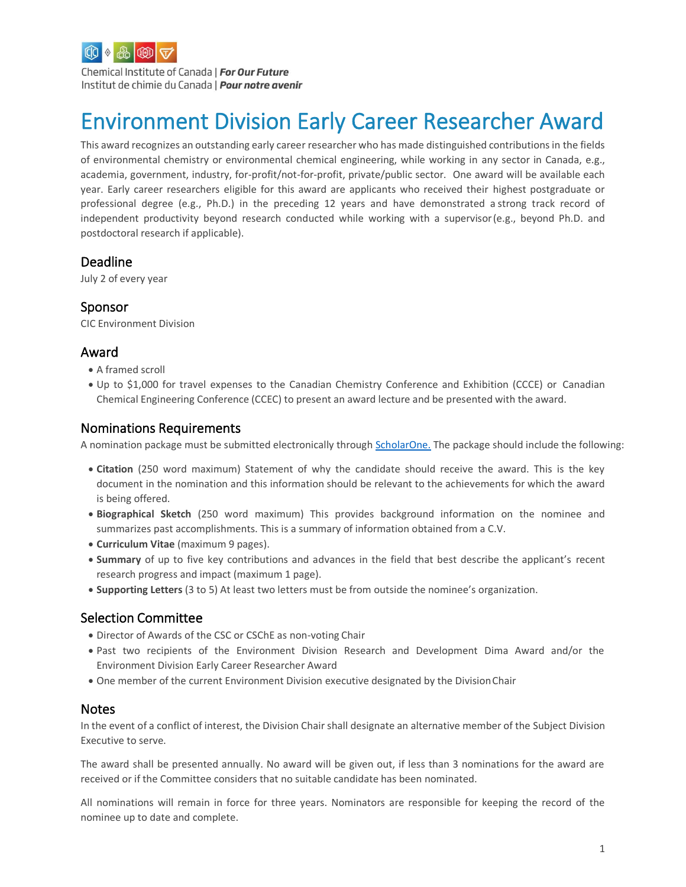

Chemical Institute of Canada | For Our Future Institut de chimie du Canada | Pour notre avenir

# Environment Division Early Career Researcher Award

This award recognizes an outstanding early career researcher who has made distinguished contributions in the fields of environmental chemistry or environmental chemical engineering, while working in any sector in Canada, e.g., academia, government, industry, for-profit/not-for-profit, private/public sector. One award will be available each year. Early career researchers eligible for this award are applicants who received their highest postgraduate or professional degree (e.g., Ph.D.) in the preceding 12 years and have demonstrated a strong track record of independent productivity beyond research conducted while working with a supervisor(e.g., beyond Ph.D. and postdoctoral research if applicable).

#### Deadline

July 2 of every year

### Sponsor

CIC Environment Division

## Award

- A framed scroll
- Up to \$1,000 for travel expenses to the Canadian Chemistry Conference and Exhibition (CCCE) or Canadian Chemical Engineering Conference (CCEC) to present an award lecture and be presented with the award.

#### Nominations Requirements

A nomination package must be submitted electronically through [ScholarOne.](http://mc04.manuscriptcentral.com/cicawards) The package should include the following:

- **Citation** (250 word maximum) Statement of why the candidate should receive the award. This is the key document in the nomination and this information should be relevant to the achievements for which the award is being offered.
- **Biographical Sketch** (250 word maximum) This provides background information on the nominee and summarizes past accomplishments. This is a summary of information obtained from a C.V.
- **Curriculum Vitae** (maximum 9 pages).
- **Summary** of up to five key contributions and advances in the field that best describe the applicant's recent research progress and impact (maximum 1 page).
- **Supporting Letters** (3 to 5) At least two letters must be from outside the nominee's organization.

### Selection Committee

- Director of Awards of the CSC or CSChE as non-voting Chair
- Past two recipients of the Environment Division Research and Development Dima Award and/or the Environment Division Early Career Researcher Award
- One member of the current Environment Division executive designated by the DivisionChair

#### Notes

In the event of a conflict of interest, the Division Chair shall designate an alternative member of the Subject Division Executive to serve.

The award shall be presented annually. No award will be given out, if less than 3 nominations for the award are received or if the Committee considers that no suitable candidate has been nominated.

All nominations will remain in force for three years. Nominators are responsible for keeping the record of the nominee up to date and complete.